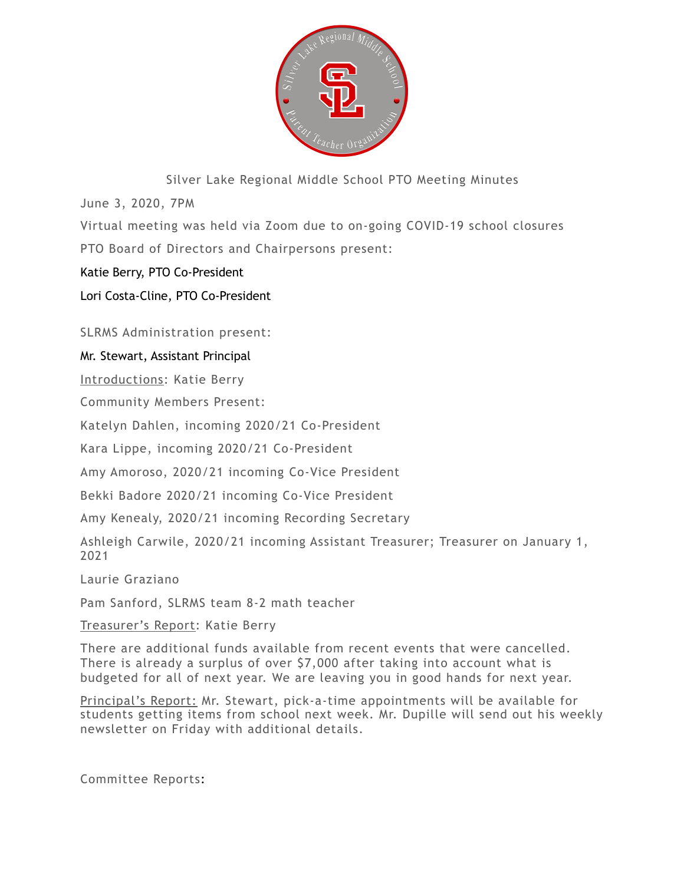

Silver Lake Regional Middle School PTO Meeting Minutes

June 3, 2020, 7PM

Virtual meeting was held via Zoom due to on-going COVID-19 school closures PTO Board of Directors and Chairpersons present:

Katie Berry, PTO Co-President

Lori Costa-Cline, PTO Co-President

SLRMS Administration present:

## Mr. Stewart, Assistant Principal

Introductions: Katie Berry

Community Members Present:

Katelyn Dahlen, incoming 2020/21 Co-President

Kara Lippe, incoming 2020/21 Co-President

Amy Amoroso, 2020/21 incoming Co-Vice President

Bekki Badore 2020/21 incoming Co-Vice President

Amy Kenealy, 2020/21 incoming Recording Secretary

Ashleigh Carwile, 2020/21 incoming Assistant Treasurer; Treasurer on January 1, 2021

Laurie Graziano

Pam Sanford, SLRMS team 8-2 math teacher

Treasurer's Report: Katie Berry

There are additional funds available from recent events that were cancelled. There is already a surplus of over \$7,000 after taking into account what is budgeted for all of next year. We are leaving you in good hands for next year.

Principal's Report: Mr. Stewart, pick-a-time appointments will be available for students getting items from school next week. Mr. Dupille will send out his weekly newsletter on Friday with additional details.

Committee Reports: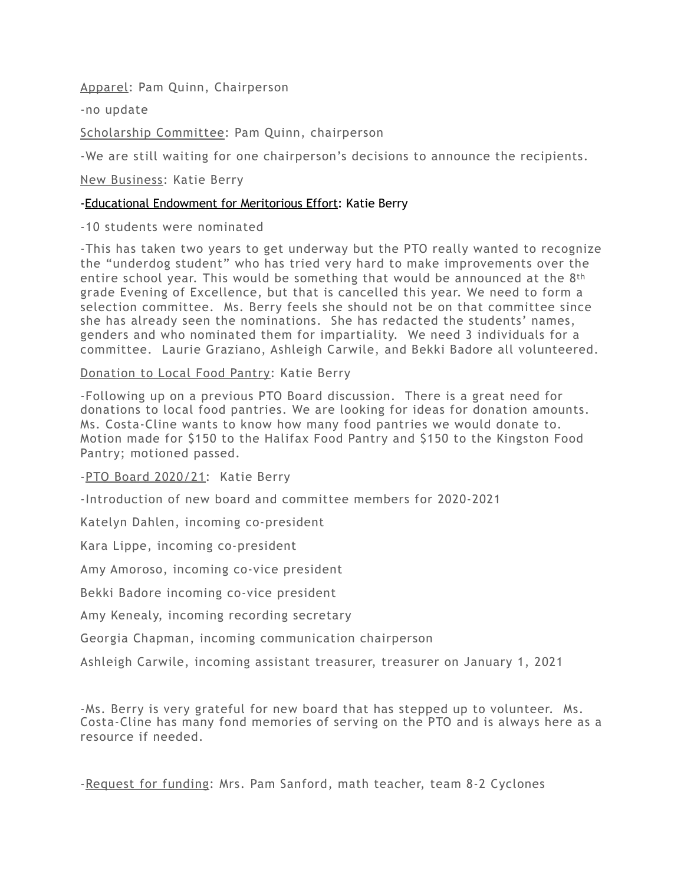Apparel: Pam Quinn, Chairperson

-no update

Scholarship Committee: Pam Quinn, chairperson

-We are still waiting for one chairperson's decisions to announce the recipients.

New Business: Katie Berry

## -Educational Endowment for Meritorious Effort: Katie Berry

-10 students were nominated

-This has taken two years to get underway but the PTO really wanted to recognize the "underdog student" who has tried very hard to make improvements over the entire school year. This would be something that would be announced at the 8th grade Evening of Excellence, but that is cancelled this year. We need to form a selection committee. Ms. Berry feels she should not be on that committee since she has already seen the nominations. She has redacted the students' names, genders and who nominated them for impartiality. We need 3 individuals for a committee. Laurie Graziano, Ashleigh Carwile, and Bekki Badore all volunteered.

Donation to Local Food Pantry: Katie Berry

-Following up on a previous PTO Board discussion. There is a great need for donations to local food pantries. We are looking for ideas for donation amounts. Ms. Costa-Cline wants to know how many food pantries we would donate to. Motion made for \$150 to the Halifax Food Pantry and \$150 to the Kingston Food Pantry; motioned passed.

-PTO Board 2020/21: Katie Berry

-Introduction of new board and committee members for 2020-2021

Katelyn Dahlen, incoming co-president

Kara Lippe, incoming co-president

Amy Amoroso, incoming co-vice president

Bekki Badore incoming co-vice president

Amy Kenealy, incoming recording secretary

Georgia Chapman, incoming communication chairperson

Ashleigh Carwile, incoming assistant treasurer, treasurer on January 1, 2021

-Ms. Berry is very grateful for new board that has stepped up to volunteer. Ms. Costa-Cline has many fond memories of serving on the PTO and is always here as a resource if needed.

-Request for funding: Mrs. Pam Sanford, math teacher, team 8-2 Cyclones